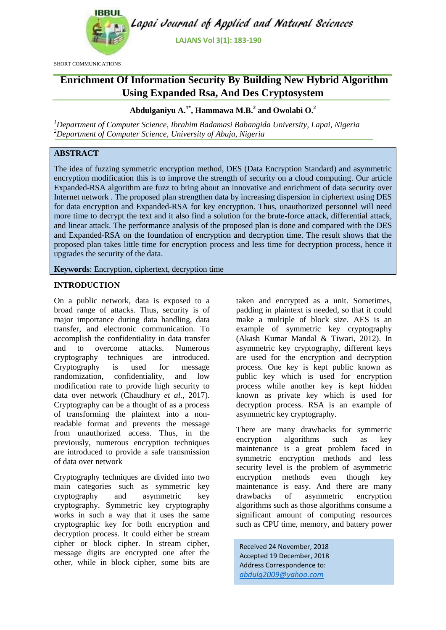

SHORT COMMUNICATIONS

Lapai Journal of Applied and Natural Sciences

**LAJANS Vol 3(1): 183-190**

# **Enrichment Of Information Security By Building New Hybrid Algorithm Using Expanded Rsa, And Des Cryptosystem**

**Abdulganiyu A. 1\* , Hammawa M.B.<sup>2</sup> and Owolabi O. 2**

*<sup>1</sup>Department of Computer Science, Ibrahim Badamasi Babangida University, Lapai, Nigeria <sup>2</sup>Department of Computer Science, University of Abuja, Nigeria*

## **ABSTRACT**

The idea of fuzzing symmetric encryption method, DES (Data Encryption Standard) and asymmetric encryption modification this is to improve the strength of security on a cloud computing. Our article Expanded-RSA algorithm are fuzz to bring about an innovative and enrichment of data security over Internet network . The proposed plan strengthen data by increasing dispersion in ciphertext using DES for data encryption and Expanded-RSA for key encryption. Thus, unauthorized personnel will need more time to decrypt the text and it also find a solution for the brute-force attack, differential attack, and linear attack. The performance analysis of the proposed plan is done and compared with the DES and Expanded-RSA on the foundation of encryption and decryption time. The result shows that the proposed plan takes little time for encryption process and less time for decryption process, hence it upgrades the security of the data.

**Keywords**: Encryption, ciphertext, decryption time

## **INTRODUCTION**

On a public network, data is exposed to a broad range of attacks. Thus, security is of major importance during data handling, data transfer, and electronic communication. To accomplish the confidentiality in data transfer and to overcome attacks. Numerous cryptography techniques are introduced. Cryptography is used for message randomization, confidentiality, and low modification rate to provide high security to data over network [\(Chaudhury](#page-6-0) *et al.*, 2017). Cryptography can be a thought of as a process of transforming the plaintext into a nonreadable format and prevents the message from unauthorized access. Thus, in the previously, numerous encryption techniques are introduced to provide a safe transmission of data over network

Cryptography techniques are divided into two main categories such as symmetric key cryptography and asymmetric key cryptography. Symmetric key cryptography works in such a way that it uses the same cryptographic key for both encryption and decryption process. It could either be stream cipher or block cipher. In stream cipher, message digits are encrypted one after the other, while in block cipher, some bits are

taken and encrypted as a unit. Sometimes, padding in plaintext is needed, so that it could make a multiple of block size. AES is an example of symmetric key cryptography [\(Akash Kumar Mandal & Tiwari, 2012\)](#page-6-1). In asymmetric key cryptography, different keys are used for the encryption and decryption process. One key is kept public known as public key which is used for encryption process while another key is kept hidden known as private key which is used for decryption process. RSA is an example of asymmetric key cryptography.

There are many drawbacks for symmetric encryption algorithms such as key maintenance is a great problem faced in symmetric encryption methods and less security level is the problem of asymmetric encryption methods even though key maintenance is easy. And there are many drawbacks of asymmetric encryption algorithms such as those algorithms consume a significant amount of computing resources such as CPU time, memory, and battery power

Received 24 November, 2018 Accepted 19 December, 2018 Address Correspondence to: *abdulg2009@yahoo.com*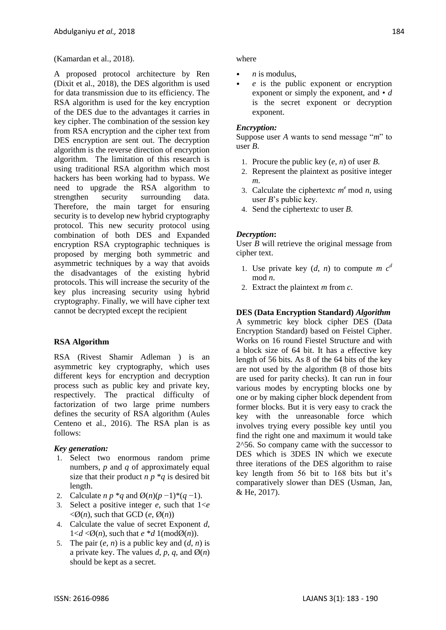#### [\(Kamardan et al., 2018\)](#page-6-2).

A proposed protocol architecture by Ren [\(Dixit et al., 2018\)](#page-6-3), the DES algorithm is used for data transmission due to its efficiency. The RSA algorithm is used for the key encryption of the DES due to the advantages it carries in key cipher. The combination of the session key from RSA encryption and the cipher text from DES encryption are sent out. The decryption algorithm is the reverse direction of encryption algorithm. The limitation of this research is using traditional RSA algorithm which most hackers has been working had to bypass. We need to upgrade the RSA algorithm to strengthen security surrounding data. Therefore, the main target for ensuring security is to develop new hybrid cryptography protocol. This new security protocol using combination of both DES and Expanded encryption RSA cryptographic techniques is proposed by merging both symmetric and asymmetric techniques by a way that avoids the disadvantages of the existing hybrid protocols. This will increase the security of the key plus increasing security using hybrid cryptography. Finally, we will have cipher text cannot be decrypted except the recipient

## **RSA Algorithm**

RSA (Rivest Shamir Adleman ) is an asymmetric key cryptography, which uses different keys for encryption and decryption process such as public key and private key, respectively. The practical difficulty of factorization of two large prime numbers defines the security of RSA algorithm [\(Aules](#page-6-4)  [Centeno et al., 2016\)](#page-6-4). The RSA plan is as follows:

#### *Key generation:*

- 1. Select two enormous random prime numbers, *p* and *q* of approximately equal size that their product  $n p * q$  is desired bit length.
- 2. Calculate *n p* \**q* and Ø(*n*)(*p* −1)\*(*q* −1).
- 3. Select a positive integer *e*, such that 1<*e*   $\langle \emptyset(n), \text{ such that GCD } (e, \emptyset(n)) \rangle$
- 4. Calculate the value of secret Exponent *d*,  $1 < d < \emptyset$ (*n*), such that  $e * d$  1(mod $\emptyset$ (*n*)).
- 5. The pair  $(e, n)$  is a public key and  $(d, n)$  is a private key. The values  $d$ ,  $p$ ,  $q$ , and  $\mathcal{O}(n)$ should be kept as a secret.

#### where

- *n* is modulus,
- *e* is the public exponent or encryption exponent or simply the exponent, and • *d*  is the secret exponent or decryption exponent.

#### *Encryption:*

Suppose user *A* wants to send message "*m*" to user *B*.

- 1. Procure the public key (*e*, *n*) of user *B*.
- 2. Represent the plaintext as positive integer *m*.
- 3. Calculate the ciphertextc  $m^e$  mod *n*, using user *B*'s public key.
- 4. Send the ciphertext*c* to user *B*.

#### *Decryption***:**

User *B* will retrieve the original message from cipher text.

- 1. Use private key  $(d, n)$  to compute *m*  $c<sup>d</sup>$ mod *n*.
- 2. Extract the plaintext *m* from *c*.

#### **DES (Data Encryption Standard)** *Algorithm*

A symmetric key block cipher DES (Data Encryption Standard) based on Feistel Cipher. Works on 16 round Fiestel Structure and with a block size of 64 bit. It has a effective key length of 56 bits. As 8 of the 64 bits of the key are not used by the algorithm (8 of those bits are used for parity checks). It can run in four various modes by encrypting blocks one by one or by making cipher block dependent from former blocks. But it is very easy to crack the key with the unreasonable force which involves trying every possible key until you find the right one and maximum it would take 2^56. So company came with the successor to DES which is 3DES IN which we execute three iterations of the DES algorithm to raise key length from 56 bit to 168 bits but it's comparatively slower than DES (Usman, Jan, & He, 2017).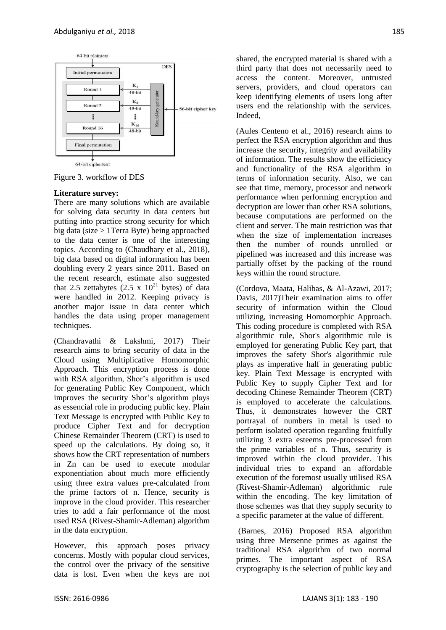

Figure 3. workflow of DES

#### **Literature survey:**

There are many solutions which are available for solving data security in data centers but putting into practice strong security for which big data (size > 1Terra Byte) being approached to the data center is one of the interesting topics. According to [\(Chaudhary et al., 2018\)](#page-6-5), big data based on digital information has been doubling every 2 years since 2011. Based on the recent research, estimate also suggested that 2.5 zettabytes  $(2.5 \times 10^{21}$  bytes) of data were handled in 2012. Keeping privacy is another major issue in data center which handles the data using proper management techniques.

[\(Chandravathi & Lakshmi, 2017\)](#page-6-6) Their research aims to bring security of data in the Cloud using Multiplicative Homomorphic Approach. This encryption process is done with RSA algorithm, Shor's algorithm is used for generating Public Key Component, which improves the security Shor"s algorithm plays as essencial role in producing public key. Plain Text Message is encrypted with Public Key to produce Cipher Text and for decryption Chinese Remainder Theorem (CRT) is used to speed up the calculations. By doing so, it shows how the CRT representation of numbers in Zn can be used to execute modular exponentiation about much more efficiently using three extra values pre-calculated from the prime factors of n. Hence, security is improve in the cloud provider. This researcher tries to add a fair performance of the most used RSA (Rivest-Shamir-Adleman) algorithm in the data encryption.

However, this approach poses privacy concerns. Mostly with popular cloud services, the control over the privacy of the sensitive data is lost. Even when the keys are not

shared, the encrypted material is shared with a third party that does not necessarily need to access the content. Moreover, untrusted servers, providers, and cloud operators can keep identifying elements of users long after users end the relationship with the services. Indeed,

[\(Aules Centeno et al., 2016\)](#page-6-4) research aims to perfect the RSA encryption algorithm and thus increase the security, integrity and availability of information. The results show the efficiency and functionality of the RSA algorithm in terms of information security. Also, we can see that time, memory, processor and network performance when performing encryption and decryption are lower than other RSA solutions, because computations are performed on the client and server. The main restriction was that when the size of implementation increases then the number of rounds unrolled or pipelined was increased and this increase was partially offset by the packing of the round keys within the round structure.

[\(Cordova, Maata, Halibas, & Al-Azawi, 2017;](#page-6-7) [Davis, 2017\)](#page-6-8)Their examination aims to offer security of information within the Cloud utilizing, increasing Homomorphic Approach. This coding procedure is completed with RSA algorithmic rule, Shor's algorithmic rule is employed for generating Public Key part, that improves the safety Shor's algorithmic rule plays as imperative half in generating public key. Plain Text Message is encrypted with Public Key to supply Cipher Text and for decoding Chinese Remainder Theorem (CRT) is employed to accelerate the calculations. Thus, it demonstrates however the CRT portrayal of numbers in metal is used to perform isolated operation regarding fruitfully utilizing 3 extra esteems pre-processed from the prime variables of n. Thus, security is improved within the cloud provider. This individual tries to expand an affordable execution of the foremost usually utilised RSA (Rivest-Shamir-Adleman) algorithmic rule within the encoding. The key limitation of those schemes was that they supply security to a specific parameter at the value of different.

[\(Barnes, 2016\)](#page-6-9) Proposed RSA algorithm using three Mersenne primes as against the traditional RSA algorithm of two normal primes. The important aspect of RSA cryptography is the selection of public key and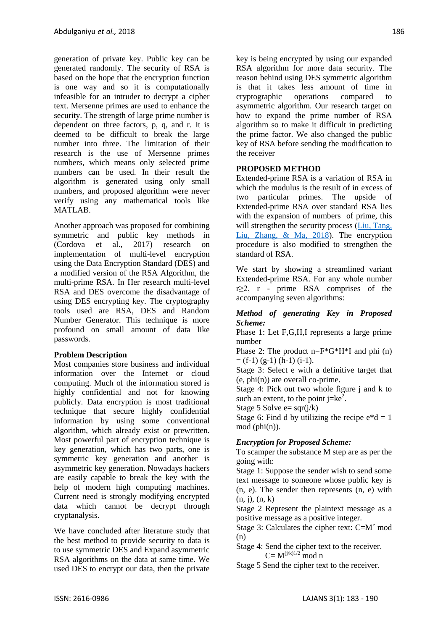generation of private key. Public key can be generated randomly. The security of RSA is based on the hope that the encryption function is one way and so it is computationally infeasible for an intruder to decrypt a cipher text. Mersenne primes are used to enhance the security. The strength of large prime number is dependent on three factors, p, q, and r. It is deemed to be difficult to break the large number into three. The limitation of their research is the use of Mersenne primes numbers, which means only selected prime numbers can be used. In their result the algorithm is generated using only small numbers, and proposed algorithm were never verify using any mathematical tools like MATLAB.

Another approach was proposed for combining symmetric and public key methods in [\(Cordova et al., 2017\)](#page-6-7) research on implementation of multi-level encryption using the Data Encryption Standard (DES) and a modified version of the RSA Algorithm, the multi-prime RSA. In Her research multi-level RSA and DES overcome the disadvantage of using DES encrypting key. The cryptography tools used are RSA, DES and Random Number Generator. This technique is more profound on small amount of data like passwords.

## **Problem Description**

Most companies store business and individual information over the Internet or cloud computing. Much of the information stored is highly confidential and not for knowing publicly. Data encryption is most traditional technique that secure highly confidential information by using some conventional algorithm, which already exist or prewritten. Most powerful part of encryption technique is key generation, which has two parts, one is symmetric key generation and another is asymmetric key generation. Nowadays hackers are easily capable to break the key with the help of modern high computing machines. Current need is strongly modifying encrypted data which cannot be decrypt through cryptanalysis.

We have concluded after literature study that the best method to provide security to data is to use symmetric DES and Expand asymmetric RSA algorithms on the data at same time. We used DES to encrypt our data, then the private key is being encrypted by using our expanded RSA algorithm for more data security. The reason behind using DES symmetric algorithm is that it takes less amount of time in cryptographic operations compared to asymmetric algorithm. Our research target on how to expand the prime number of RSA algorithm so to make it difficult in predicting the prime factor. We also changed the public key of RSA before sending the modification to the receiver

#### **PROPOSED METHOD**

Extended-prime RSA is a variation of RSA in which the modulus is the result of in excess of two particular primes. The upside of Extended-prime RSA over standard RSA lies with the expansion of numbers of prime, this will strengthen the security process (Liu, Tang, [Liu, Zhang, & Ma, 2018\)](#page-6-10). The encryption procedure is also modified to strengthen the standard of RSA.

We start by showing a streamlined variant Extended-prime RSA. For any whole number r≥2, r - prime RSA comprises of the accompanying seven algorithms:

#### *Method of generating Key in Proposed Scheme:*

Phase 1: Let F,G,H,I represents a large prime number

Phase 2: The product n=F\*G\*H\*I and phi (n)  $=$  (f-1) (g-1) (h-1) (i-1).

Stage 3: Select e with a definitive target that  $(e, phi(n))$  are overall co-prime.

Stage 4: Pick out two whole figure j and k to such an extent, to the point  $j=ke^2$ .

Stage 5 Solve  $e=$  sqr( $i/k$ )

Stage 6: Find d by utilizing the recipe  $e^*d = 1$  $mod (phi(n)).$ 

## *Encryption for Proposed Scheme:*

To scamper the substance M step are as per the going with:

Stage 1: Suppose the sender wish to send some text message to someone whose public key is (n, e). The sender then represents (n, e) with  $(n, j), (n, k)$ 

Stage 2 Represent the plaintext message as a positive message as a positive integer.

Stage 3: Calculates the cipher text:  $C=M<sup>e</sup>$  mod (n)

Stage 4: Send the cipher text to the receiver.  $C= M^{(j/k)1/2}$  mod n

Stage 5 Send the cipher text to the receiver.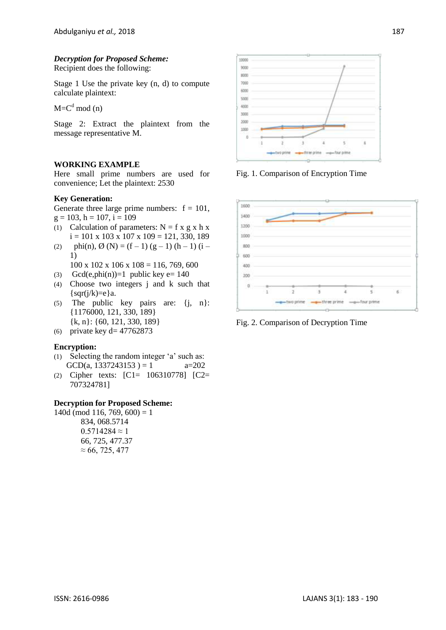## *Decryption for Proposed Scheme:*

Recipient does the following:

Stage 1 Use the private key (n, d) to compute calculate plaintext:

 $M = C<sup>d</sup>$  mod (n)

Stage 2: Extract the plaintext from the message representative M.

#### **WORKING EXAMPLE**

Here small prime numbers are used for convenience; Let the plaintext: 2530

#### **Key Generation:**

Generate three large prime numbers:  $f = 101$ ,  $g = 103$ ,  $h = 107$ ,  $i = 109$ 

- (1) Calculation of parameters:  $N = f x g x h x$  $i = 101 \times 103 \times 107 \times 109 = 121, 330, 189$
- (2) phi(n),  $\emptyset$  (N) = (f-1) (g-1) (h-1) (i-1)
	- $100 \times 102 \times 106 \times 108 = 116, 769, 600$
- (3) Gcd(e,phi(n))=1 public key e=  $140$
- (4) Choose two integers j and k such that  $\{ \text{sqr}(j/k)=e \}$ a.
- (5) The public key pairs are: {j, n}: {1176000, 121, 330, 189} {k, n}: {60, 121, 330, 189}
- (6) private key d=  $47762873$

#### **Encryption:**

- (1) Selecting the random integer "a" such as: GCD(a, 1337243153) = 1  $a=202$
- (2) Cipher texts: [C1= 106310778] [C2= 707324781]

#### **Decryption for Proposed Scheme:**

140d (mod 116, 769, 600) = 1 834, 068.5714  $0.5714284 \approx 1$ 66, 725, 477.37  $\approx 66, 725, 477$ 



Fig. 1. Comparison of Encryption Time



Fig. 2. Comparison of Decryption Time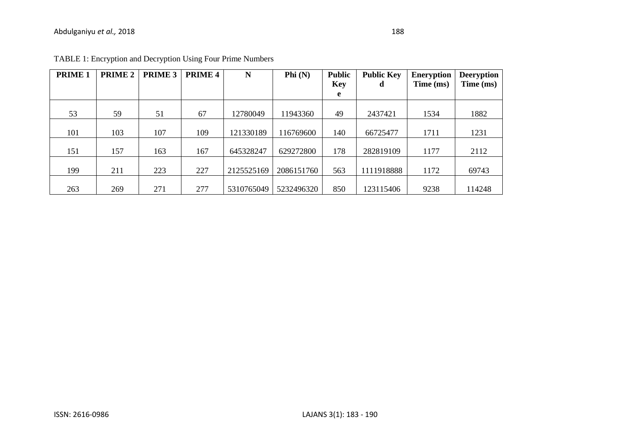| <b>PRIME 1</b> | <b>PRIME 2</b> | PRIME 3 | <b>PRIME 4</b> | N          | Phi $(N)$  | <b>Public</b><br><b>Key</b><br>e | <b>Public Key</b><br>d | <b>Eneryption</b><br>Time (ms) | <b>Deeryption</b><br>Time (ms) |
|----------------|----------------|---------|----------------|------------|------------|----------------------------------|------------------------|--------------------------------|--------------------------------|
|                |                |         |                |            |            |                                  |                        |                                |                                |
| 53             | 59             | 51      | 67             | 12780049   | 11943360   | 49                               | 2437421                | 1534                           | 1882                           |
|                |                |         |                |            |            |                                  |                        |                                |                                |
| 101            | 103            | 107     | 109            | 121330189  | 116769600  | 140                              | 66725477               | 1711                           | 1231                           |
|                |                |         |                |            |            |                                  |                        |                                |                                |
| 151            | 157            | 163     | 167            | 645328247  | 629272800  | 178                              | 282819109              | 1177                           | 2112                           |
|                |                |         |                |            |            |                                  |                        |                                |                                |
| 199            | 211            | 223     | 227            | 2125525169 | 2086151760 | 563                              | 1111918888             | 1172                           | 69743                          |
|                |                |         |                |            |            |                                  |                        |                                |                                |
| 263            | 269            | 271     | 277            | 5310765049 | 5232496320 | 850                              | 123115406              | 9238                           | 114248                         |

TABLE 1: Encryption and Decryption Using Four Prime Numbers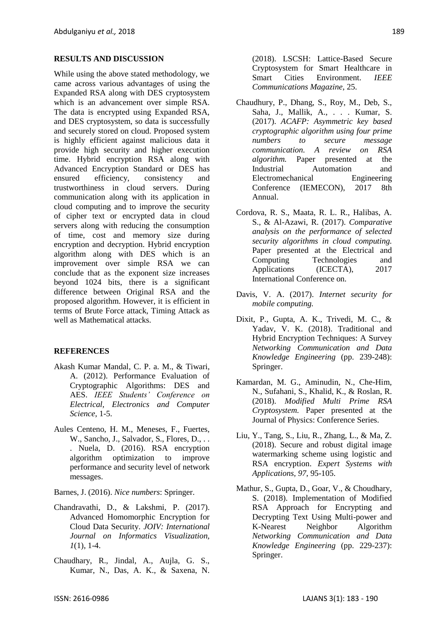#### **RESULTS AND DISCUSSION**

While using the above stated methodology, we came across various advantages of using the Expanded RSA along with DES cryptosystem which is an advancement over simple RSA. The data is encrypted using Expanded RSA, and DES cryptosystem, so data is successfully and securely stored on cloud. Proposed system is highly efficient against malicious data it provide high security and higher execution time. Hybrid encryption RSA along with Advanced Encryption Standard or DES has ensured efficiency, consistency and trustworthiness in cloud servers. During communication along with its application in cloud computing and to improve the security of cipher text or encrypted data in cloud servers along with reducing the consumption of time, cost and memory size during encryption and decryption. Hybrid encryption algorithm along with DES which is an improvement over simple RSA we can conclude that as the exponent size increases beyond 1024 bits, there is a significant difference between Original RSA and the proposed algorithm. However, it is efficient in terms of Brute Force attack, Timing Attack as well as Mathematical attacks.

#### **REFERENCES**

- <span id="page-6-1"></span>Akash Kumar Mandal, C. P. a. M., & Tiwari, A. (2012). Performance Evaluation of Cryptographic Algorithms: DES and AES. *IEEE Students' Conference on Electrical, Electronics and Computer Science*, 1-5.
- <span id="page-6-4"></span>Aules Centeno, H. M., Meneses, F., Fuertes, W., Sancho, J., Salvador, S., Flores, D., .. . Nuela, D. (2016). RSA encryption algorithm optimization to improve performance and security level of network messages.

<span id="page-6-9"></span>Barnes, J. (2016). *Nice numbers*: Springer.

- <span id="page-6-6"></span>Chandravathi, D., & Lakshmi, P. (2017). Advanced Homomorphic Encryption for Cloud Data Security. *JOIV: International Journal on Informatics Visualization, 1*(1), 1-4.
- <span id="page-6-5"></span>Chaudhary, R., Jindal, A., Aujla, G. S., Kumar, N., Das, A. K., & Saxena, N.

(2018). LSCSH: Lattice-Based Secure Cryptosystem for Smart Healthcare in Smart Cities Environment. *IEEE Communications Magazine*, 25.

- <span id="page-6-0"></span>Chaudhury, P., Dhang, S., Roy, M., Deb, S., Saha, J., Mallik, A., . . . Kumar, S. (2017). *ACAFP: Asymmetric key based cryptographic algorithm using four prime numbers to secure message communication. A review on RSA algorithm.* Paper presented at the Industrial Automation and Electromechanical Engineering Conference (IEMECON), 2017 8th Annual.
- <span id="page-6-7"></span>Cordova, R. S., Maata, R. L. R., Halibas, A. S., & Al-Azawi, R. (2017). *Comparative analysis on the performance of selected security algorithms in cloud computing.* Paper presented at the Electrical and Computing Technologies and Applications (ICECTA), 2017 International Conference on.
- <span id="page-6-8"></span>Davis, V. A. (2017). *Internet security for mobile computing.*
- <span id="page-6-3"></span>Dixit, P., Gupta, A. K., Trivedi, M. C., & Yadav, V. K. (2018). Traditional and Hybrid Encryption Techniques: A Survey *Networking Communication and Data Knowledge Engineering* (pp. 239-248): Springer.
- <span id="page-6-2"></span>Kamardan, M. G., Aminudin, N., Che-Him, N., Sufahani, S., Khalid, K., & Roslan, R. (2018). *Modified Multi Prime RSA Cryptosystem.* Paper presented at the Journal of Physics: Conference Series.
- <span id="page-6-10"></span>Liu, Y., Tang, S., Liu, R., Zhang, L., & Ma, Z. (2018). Secure and robust digital image watermarking scheme using logistic and RSA encryption. *Expert Systems with Applications, 97*, 95-105.
- Mathur, S., Gupta, D., Goar, V., & Choudhary, S. (2018). Implementation of Modified RSA Approach for Encrypting and Decrypting Text Using Multi-power and K-Nearest Neighbor Algorithm *Networking Communication and Data Knowledge Engineering* (pp. 229-237): Springer.